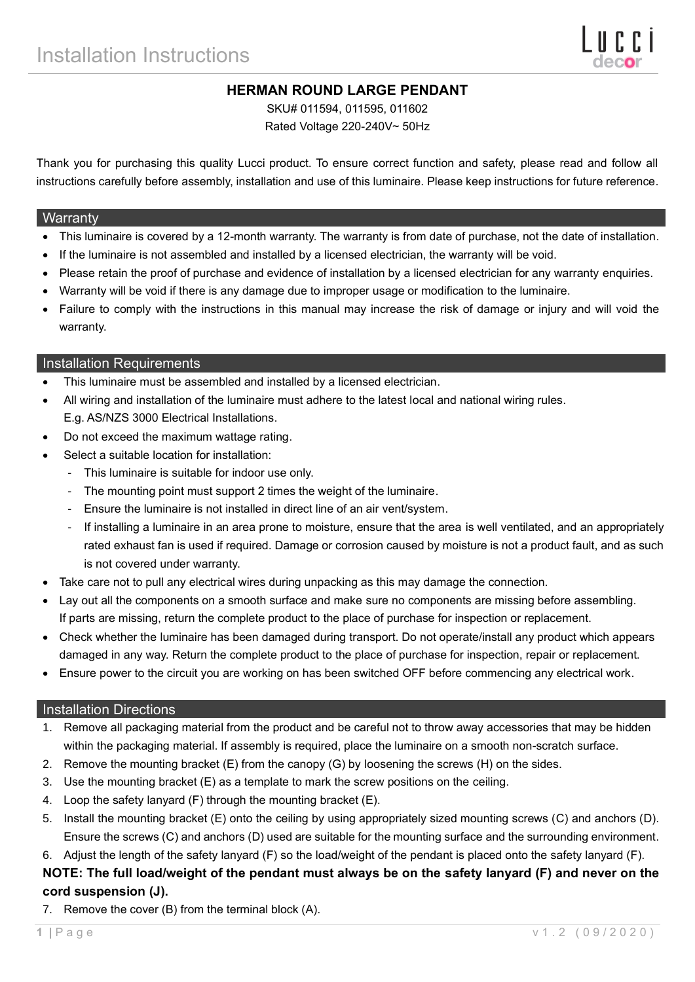# **HERMAN ROUND LARGE PENDANT**

SKU# 011594, 011595, 011602

Rated Voltage 220-240V~ 50Hz

Thank you for purchasing this quality Lucci product. To ensure correct function and safety, please read and follow all instructions carefully before assembly, installation and use of this luminaire. Please keep instructions for future reference.

#### **Warranty**

- This luminaire is covered by a 12-month warranty. The warranty is from date of purchase, not the date of installation.
- If the luminaire is not assembled and installed by a licensed electrician, the warranty will be void.
- Please retain the proof of purchase and evidence of installation by a licensed electrician for any warranty enquiries.
- Warranty will be void if there is any damage due to improper usage or modification to the luminaire.
- Failure to comply with the instructions in this manual may increase the risk of damage or injury and will void the warranty.

### Installation Requirements

- This luminaire must be assembled and installed by a licensed electrician.
- All wiring and installation of the luminaire must adhere to the latest local and national wiring rules. E.g. AS/NZS 3000 Electrical Installations.
- Do not exceed the maximum wattage rating.
- Select a suitable location for installation:
	- This luminaire is suitable for indoor use only.
	- The mounting point must support 2 times the weight of the luminaire.
	- Ensure the luminaire is not installed in direct line of an air vent/system.
	- If installing a luminaire in an area prone to moisture, ensure that the area is well ventilated, and an appropriately rated exhaust fan is used if required. Damage or corrosion caused by moisture is not a product fault, and as such is not covered under warranty.
- Take care not to pull any electrical wires during unpacking as this may damage the connection.
- Lay out all the components on a smooth surface and make sure no components are missing before assembling. If parts are missing, return the complete product to the place of purchase for inspection or replacement.
- Check whether the luminaire has been damaged during transport. Do not operate/install any product which appears damaged in any way. Return the complete product to the place of purchase for inspection, repair or replacement.
- Ensure power to the circuit you are working on has been switched OFF before commencing any electrical work.

### Installation Directions

- 1. Remove all packaging material from the product and be careful not to throw away accessories that may be hidden within the packaging material. If assembly is required, place the luminaire on a smooth non-scratch surface.
- 2. Remove the mounting bracket (E) from the canopy (G) by loosening the screws (H) on the sides.
- 3. Use the mounting bracket (E) as a template to mark the screw positions on the ceiling.
- 4. Loop the safety lanyard (F) through the mounting bracket (E).
- 5. Install the mounting bracket (E) onto the ceiling by using appropriately sized mounting screws (C) and anchors (D). Ensure the screws (C) and anchors (D) used are suitable for the mounting surface and the surrounding environment.
- 6. Adjust the length of the safety lanyard (F) so the load/weight of the pendant is placed onto the safety lanyard (F).

## **NOTE: The full load/weight of the pendant must always be on the safety lanyard (F) and never on the cord suspension (J).**

7. Remove the cover (B) from the terminal block (A).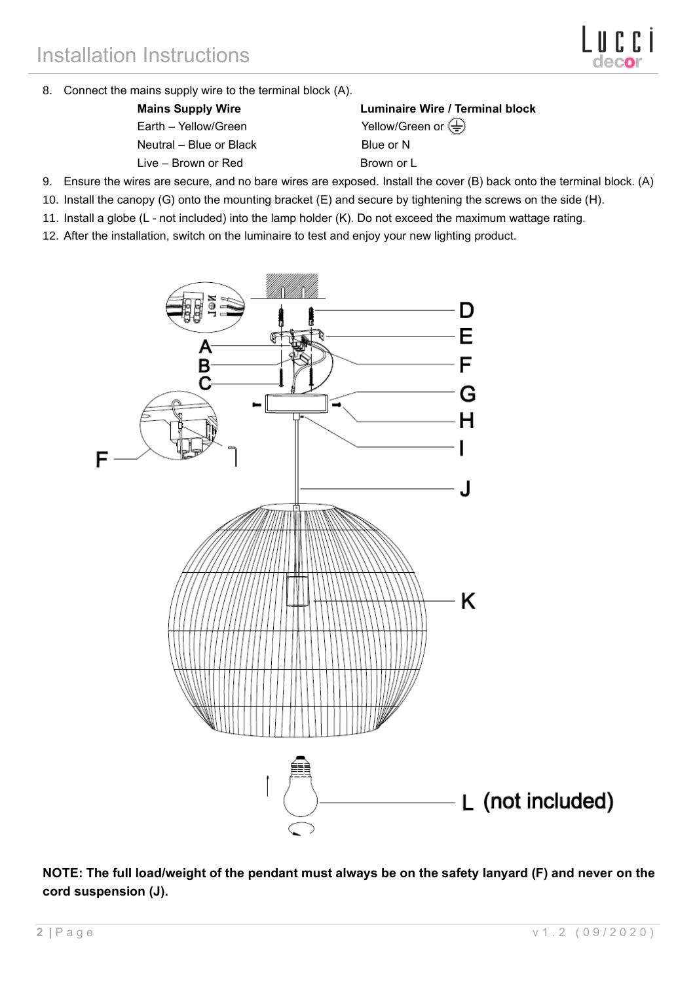8. Connect the mains supply wire to the terminal block (A).

Earth – Yellow/Green Yellow/Green or  $\overline{\bigoplus}$ Neutral – Blue or Black Blue or N

Live – Brown or Red Brown or L

**Mains Supply Wire Luminaire Wire / Terminal block**

- 9. Ensure the wires are secure, and no bare wires are exposed. Install the cover (B) back onto the terminal block. (A)
- 10. Install the canopy (G) onto the mounting bracket (E) and secure by tightening the screws on the side (H).
- 11. Install a globe (L not included) into the lamp holder (K). Do not exceed the maximum wattage rating.
- 12. After the installation, switch on the luminaire to test and enjoy your new lighting product.



**NOTE: The full load/weight of the pendant must always be on the safety lanyard (F) and never on the cord suspension (J).**